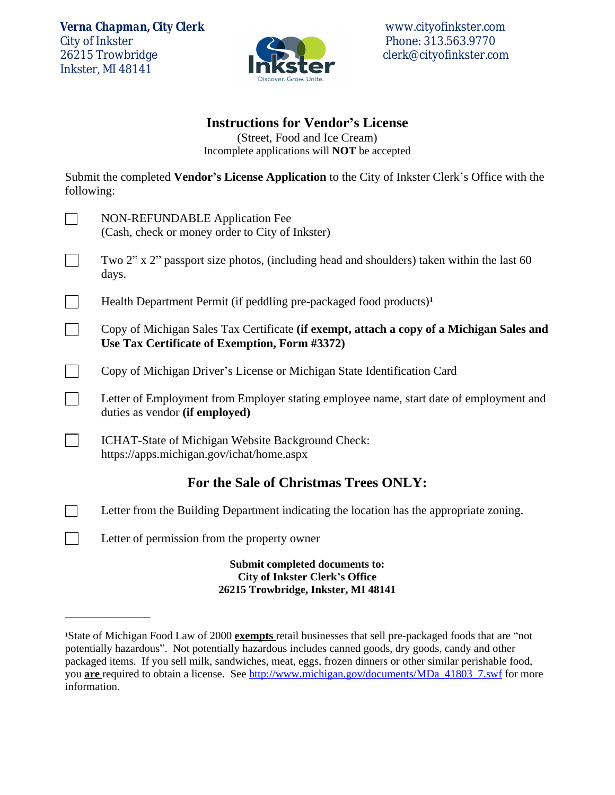*Verna Chapman, City Clerk* www.cityofinkster.com City of Inkster Phone: 313.563.9770<br>26215 Trowbridge Phone: 313.563.9770 Inkster, MI 48141

 $\overline{\phantom{a}}$  , where the contract of the contract of  $\overline{\phantom{a}}$ 



clerk@cityofinkster.com

#### **Instructions for Vendor's License**

(Street, Food and Ice Cream) Incomplete applications will **NOT** be accepted

Submit the completed **Vendor's License Application** to the City of Inkster Clerk's Office with the following:

| <b>NON-REFUNDABLE Application Fee</b><br>(Cash, check or money order to City of Inkster)                                                  |
|-------------------------------------------------------------------------------------------------------------------------------------------|
| Two 2" x 2" passport size photos, (including head and shoulders) taken within the last 60<br>days.                                        |
| Health Department Permit (if peddling pre-packaged food products) <sup>1</sup>                                                            |
| Copy of Michigan Sales Tax Certificate (if exempt, attach a copy of a Michigan Sales and<br>Use Tax Certificate of Exemption, Form #3372) |
| Copy of Michigan Driver's License or Michigan State Identification Card                                                                   |
| Letter of Employment from Employer stating employee name, start date of employment and<br>duties as vendor (if employed)                  |
| ICHAT-State of Michigan Website Background Check:<br>https://apps.michigan.gov/ichat/home.aspx                                            |
| For the Sale of Christmas Trees ONLY:                                                                                                     |
| Letter from the Building Department indicating the location has the appropriate zoning.                                                   |
| Letter of permission from the property owner                                                                                              |
| Submit completed documents to:<br><b>City of Inkster Clerk's Office</b><br>26215 Trowbridge, Inkster, MI 48141                            |

**<sup>1</sup>**State of Michigan Food Law of 2000 **exempts** retail businesses that sell pre-packaged foods that are "not potentially hazardous". Not potentially hazardous includes canned goods, dry goods, candy and other packaged items. If you sell milk, sandwiches, meat, eggs, frozen dinners or other similar perishable food, you **are** required to obtain a license. See [http://www.michigan.gov/documents/MDa\\_41803\\_7.swf](http://www.michigan.gov/documents/MDa_41803_7.swf) for more information.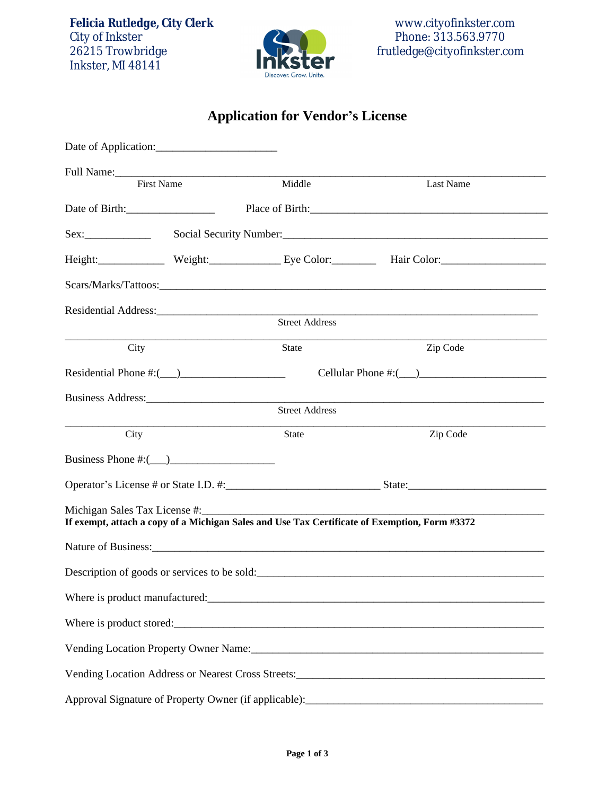Felicia Rutledge, City Clerk<br>
City of Inkster<br>
City of Inkster<br>
City of Inkster<br>
City of Inkster<br>
City of Inkster<br>
City of Inkster<br>
City of Inkster<br>
City of Inkster<br>
City of Inkster<br>
City of Inkster<br>
City of Inkster<br>
City Inkster, MI 48141



# **Application for Vendor's License**

| Date of Application:                 |                   |                            |                                                                                               |  |  |  |
|--------------------------------------|-------------------|----------------------------|-----------------------------------------------------------------------------------------------|--|--|--|
|                                      |                   |                            |                                                                                               |  |  |  |
|                                      | <b>First Name</b> | Middle                     | Last Name                                                                                     |  |  |  |
| Date of Birth:                       |                   |                            |                                                                                               |  |  |  |
| Sex:                                 |                   |                            |                                                                                               |  |  |  |
|                                      |                   |                            | Height: Weight: Weight: Eye Color: Hair Color: Hair Color:                                    |  |  |  |
|                                      |                   |                            |                                                                                               |  |  |  |
|                                      |                   |                            | Residential Address: Street Address Street Address                                            |  |  |  |
|                                      |                   |                            |                                                                                               |  |  |  |
| City                                 |                   | State                      | Zip Code                                                                                      |  |  |  |
| Residential Phone $\#: (\_\_\_)$     |                   | Cellular Phone #: $(\_\_)$ |                                                                                               |  |  |  |
|                                      |                   |                            |                                                                                               |  |  |  |
|                                      |                   | <b>Street Address</b>      |                                                                                               |  |  |  |
| City                                 |                   | <b>State</b>               | Zip Code                                                                                      |  |  |  |
| Business Phone #: $(\_\_)$           |                   |                            |                                                                                               |  |  |  |
|                                      |                   |                            |                                                                                               |  |  |  |
| Michigan Sales Tax License #:_______ |                   |                            | If exempt, attach a copy of a Michigan Sales and Use Tax Certificate of Exemption, Form #3372 |  |  |  |
|                                      |                   |                            |                                                                                               |  |  |  |
|                                      |                   |                            |                                                                                               |  |  |  |
|                                      |                   |                            |                                                                                               |  |  |  |
|                                      |                   |                            |                                                                                               |  |  |  |
|                                      |                   |                            |                                                                                               |  |  |  |
|                                      |                   |                            | Vending Location Address or Nearest Cross Streets:_______________________________             |  |  |  |
|                                      |                   |                            | Approval Signature of Property Owner (if applicable):                                         |  |  |  |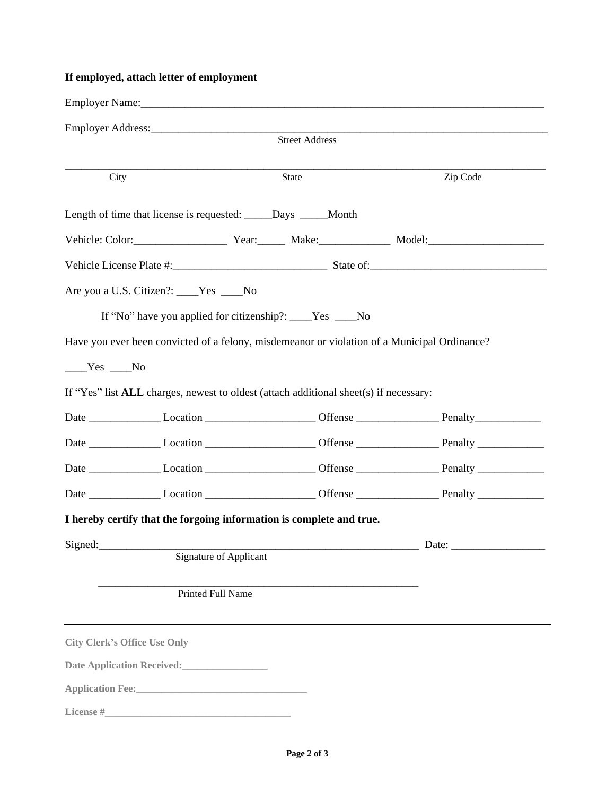#### **If employed, attach letter of employment**

|                |                                                                                                                                                                                                                                       | Employer Name: Name: Name: Name: Name: Name: Name: Name: Name: Name: Name: Name: Name: Name: Name: Name: Name: Name: Name: Name: Name: Name: Name: Name: Name: Name: Name: Name: Name: Name: Name: Name: Name: Name: Name: Nam |  |          |  |  |  |  |
|----------------|---------------------------------------------------------------------------------------------------------------------------------------------------------------------------------------------------------------------------------------|--------------------------------------------------------------------------------------------------------------------------------------------------------------------------------------------------------------------------------|--|----------|--|--|--|--|
| Street Address |                                                                                                                                                                                                                                       |                                                                                                                                                                                                                                |  |          |  |  |  |  |
|                |                                                                                                                                                                                                                                       |                                                                                                                                                                                                                                |  |          |  |  |  |  |
| City           |                                                                                                                                                                                                                                       | State                                                                                                                                                                                                                          |  | Zip Code |  |  |  |  |
|                |                                                                                                                                                                                                                                       | Length of time that license is requested: _____Days ____Month                                                                                                                                                                  |  |          |  |  |  |  |
|                |                                                                                                                                                                                                                                       |                                                                                                                                                                                                                                |  |          |  |  |  |  |
|                |                                                                                                                                                                                                                                       |                                                                                                                                                                                                                                |  |          |  |  |  |  |
|                | Are you a U.S. Citizen?: ____Yes ____No                                                                                                                                                                                               |                                                                                                                                                                                                                                |  |          |  |  |  |  |
|                |                                                                                                                                                                                                                                       | If "No" have you applied for citizenship?: ____Yes ____No                                                                                                                                                                      |  |          |  |  |  |  |
|                |                                                                                                                                                                                                                                       | Have you ever been convicted of a felony, misdemeanor or violation of a Municipal Ordinance?                                                                                                                                   |  |          |  |  |  |  |
| $Yes$ No       |                                                                                                                                                                                                                                       |                                                                                                                                                                                                                                |  |          |  |  |  |  |
|                |                                                                                                                                                                                                                                       | If "Yes" list ALL charges, newest to oldest (attach additional sheet(s) if necessary:                                                                                                                                          |  |          |  |  |  |  |
|                |                                                                                                                                                                                                                                       | Date Location Location Content Content Content Penalty Penalty                                                                                                                                                                 |  |          |  |  |  |  |
|                |                                                                                                                                                                                                                                       |                                                                                                                                                                                                                                |  |          |  |  |  |  |
|                |                                                                                                                                                                                                                                       |                                                                                                                                                                                                                                |  |          |  |  |  |  |
|                |                                                                                                                                                                                                                                       |                                                                                                                                                                                                                                |  |          |  |  |  |  |
|                |                                                                                                                                                                                                                                       | I hereby certify that the forgoing information is complete and true.                                                                                                                                                           |  |          |  |  |  |  |
| Signed:        |                                                                                                                                                                                                                                       |                                                                                                                                                                                                                                |  |          |  |  |  |  |
|                | <b>Signature of Applicant</b>                                                                                                                                                                                                         |                                                                                                                                                                                                                                |  |          |  |  |  |  |
|                | Printed Full Name                                                                                                                                                                                                                     |                                                                                                                                                                                                                                |  |          |  |  |  |  |
|                |                                                                                                                                                                                                                                       |                                                                                                                                                                                                                                |  |          |  |  |  |  |
|                | <b>City Clerk's Office Use Only</b>                                                                                                                                                                                                   |                                                                                                                                                                                                                                |  |          |  |  |  |  |
|                | Date Application Received:<br><u>Letter and the second</u>                                                                                                                                                                            |                                                                                                                                                                                                                                |  |          |  |  |  |  |
|                | Application Fee:<br><u>Letter and the substitute of the substitute of the substitute of the substitute</u> of the substitute of the substitute of the substitute of the substitute of the substitute of the substitute of the substit |                                                                                                                                                                                                                                |  |          |  |  |  |  |
|                |                                                                                                                                                                                                                                       |                                                                                                                                                                                                                                |  |          |  |  |  |  |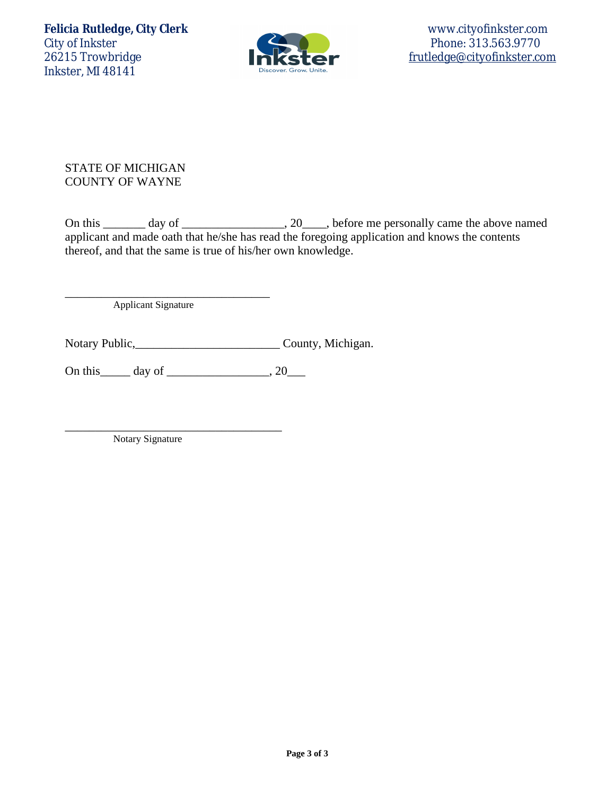Felicia Rutledge, City Clerk www.cityofinkster.com<br>City of Inkster Phone: 313.563.9770 City of Inkster Phone: 313.563.9770 Inkster, MI 48141



[frutledge@cityofinkster.com](mailto:frutledge@cityofinkster.com)

STATE OF MICHIGAN COUNTY OF WAYNE

On this \_\_\_\_\_\_\_ day of \_\_\_\_\_\_\_\_\_\_\_\_\_\_\_\_\_, 20\_\_\_\_, before me personally came the above named applicant and made oath that he/she has read the foregoing application and knows the contents thereof, and that the same is true of his/her own knowledge.

Applicant Signature

\_\_\_\_\_\_\_\_\_\_\_\_\_\_\_\_\_\_\_\_\_\_\_\_\_\_\_\_\_\_\_\_\_\_

Notary Public, County, Michigan.

On this\_\_\_\_\_ day of \_\_\_\_\_\_\_\_\_\_\_\_\_\_\_\_\_, 20\_\_\_

\_\_\_\_\_\_\_\_\_\_\_\_\_\_\_\_\_\_\_\_\_\_\_\_\_\_\_\_\_\_\_\_\_\_\_\_

Notary Signature